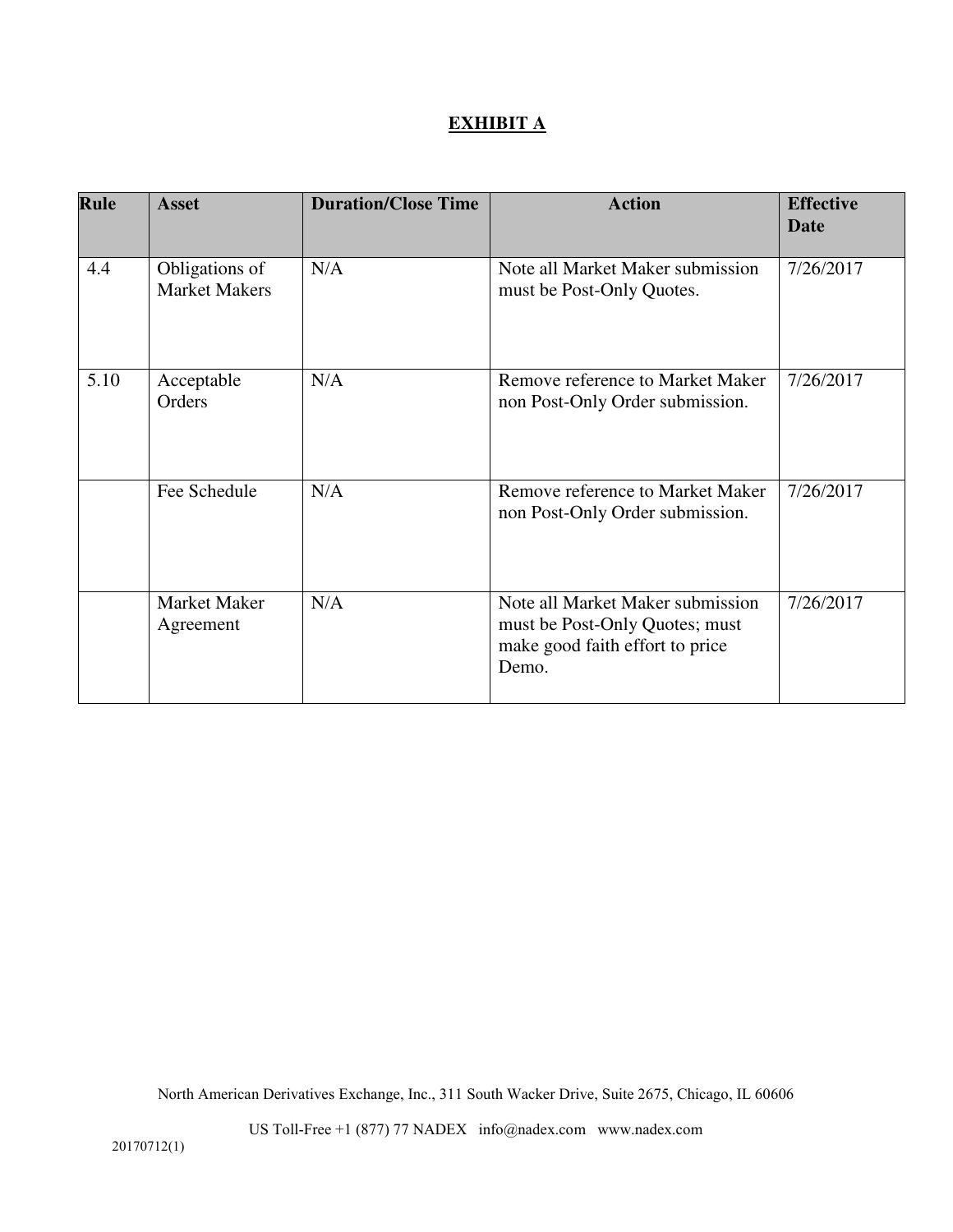# **EXHIBIT A**

| Rule | <b>Asset</b>                           | <b>Duration/Close Time</b> | <b>Action</b>                                                                                                  | <b>Effective</b><br>Date |
|------|----------------------------------------|----------------------------|----------------------------------------------------------------------------------------------------------------|--------------------------|
|      |                                        |                            |                                                                                                                |                          |
| 4.4  | Obligations of<br><b>Market Makers</b> | N/A                        | Note all Market Maker submission<br>must be Post-Only Quotes.                                                  | 7/26/2017                |
| 5.10 | Acceptable<br>Orders                   | N/A                        | Remove reference to Market Maker<br>non Post-Only Order submission.                                            | 7/26/2017                |
|      | Fee Schedule                           | N/A                        | Remove reference to Market Maker<br>non Post-Only Order submission.                                            | 7/26/2017                |
|      | <b>Market Maker</b><br>Agreement       | N/A                        | Note all Market Maker submission<br>must be Post-Only Quotes; must<br>make good faith effort to price<br>Demo. | 7/26/2017                |

North American Derivatives Exchange, Inc., 311 South Wacker Drive, Suite 2675, Chicago, IL 60606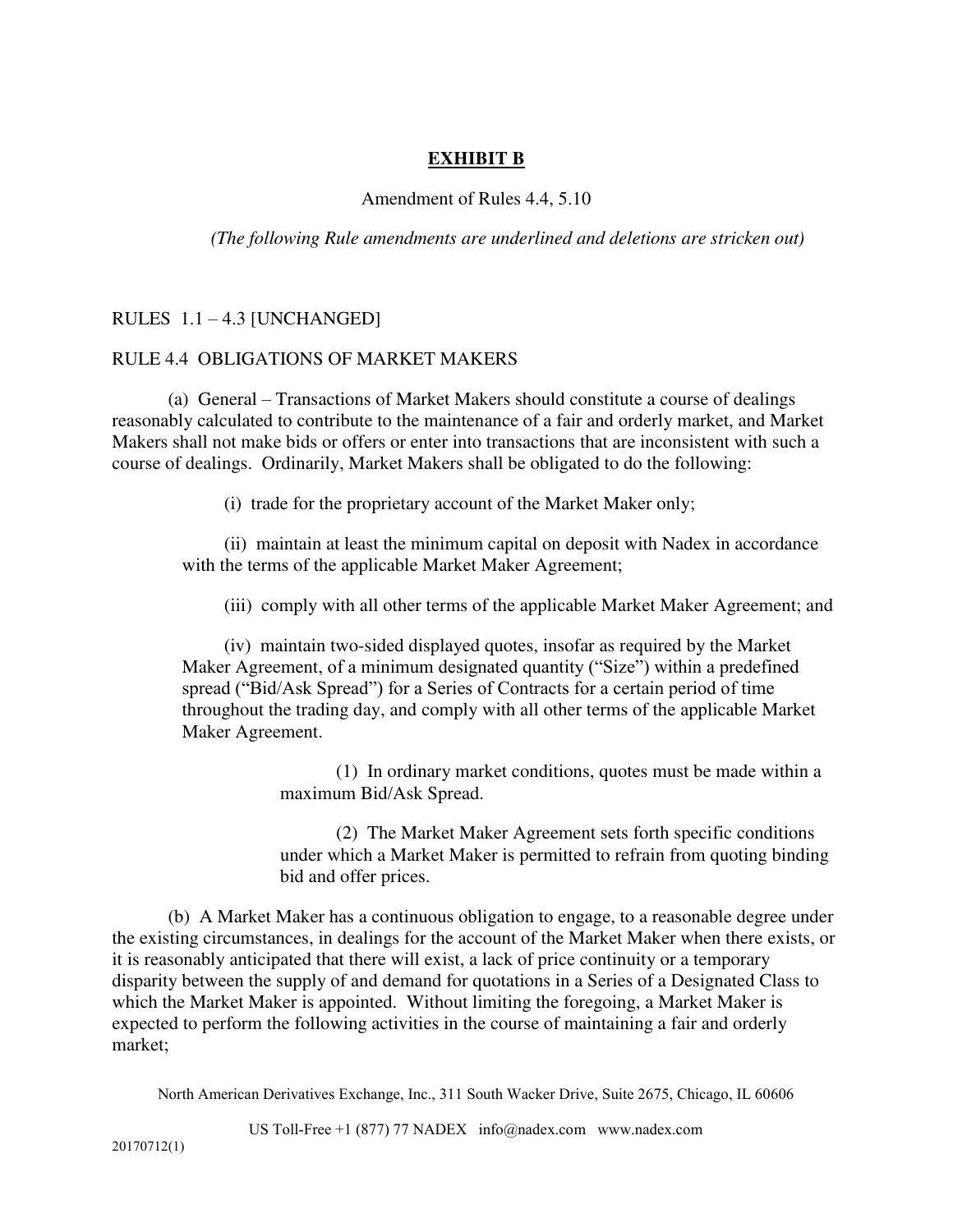# **EXHIBIT B**

# Amendment of Rules 4.4, 5.10

*(The following Rule amendments are underlined and deletions are stricken out)* 

# RULES 1.1 – 4.3 [UNCHANGED]

# RULE 4.4 OBLIGATIONS OF MARKET MAKERS

(a) General – Transactions of Market Makers should constitute a course of dealings reasonably calculated to contribute to the maintenance of a fair and orderly market, and Market Makers shall not make bids or offers or enter into transactions that are inconsistent with such a course of dealings. Ordinarily, Market Makers shall be obligated to do the following:

(i) trade for the proprietary account of the Market Maker only;

(ii) maintain at least the minimum capital on deposit with Nadex in accordance with the terms of the applicable Market Maker Agreement;

(iii) comply with all other terms of the applicable Market Maker Agreement; and

(iv) maintain two-sided displayed quotes, insofar as required by the Market Maker Agreement, of a minimum designated quantity ("Size") within a predefined spread ("Bid/Ask Spread") for a Series of Contracts for a certain period of time throughout the trading day, and comply with all other terms of the applicable Market Maker Agreement.

> (1) In ordinary market conditions, quotes must be made within a maximum Bid/Ask Spread.

(2) The Market Maker Agreement sets forth specific conditions under which a Market Maker is permitted to refrain from quoting binding bid and offer prices.

(b) A Market Maker has a continuous obligation to engage, to a reasonable degree under the existing circumstances, in dealings for the account of the Market Maker when there exists, or it is reasonably anticipated that there will exist, a lack of price continuity or a temporary disparity between the supply of and demand for quotations in a Series of a Designated Class to which the Market Maker is appointed. Without limiting the foregoing, a Market Maker is expected to perform the following activities in the course of maintaining a fair and orderly market;

North American Derivatives Exchange, Inc., 311 South Wacker Drive, Suite 2675, Chicago, IL 60606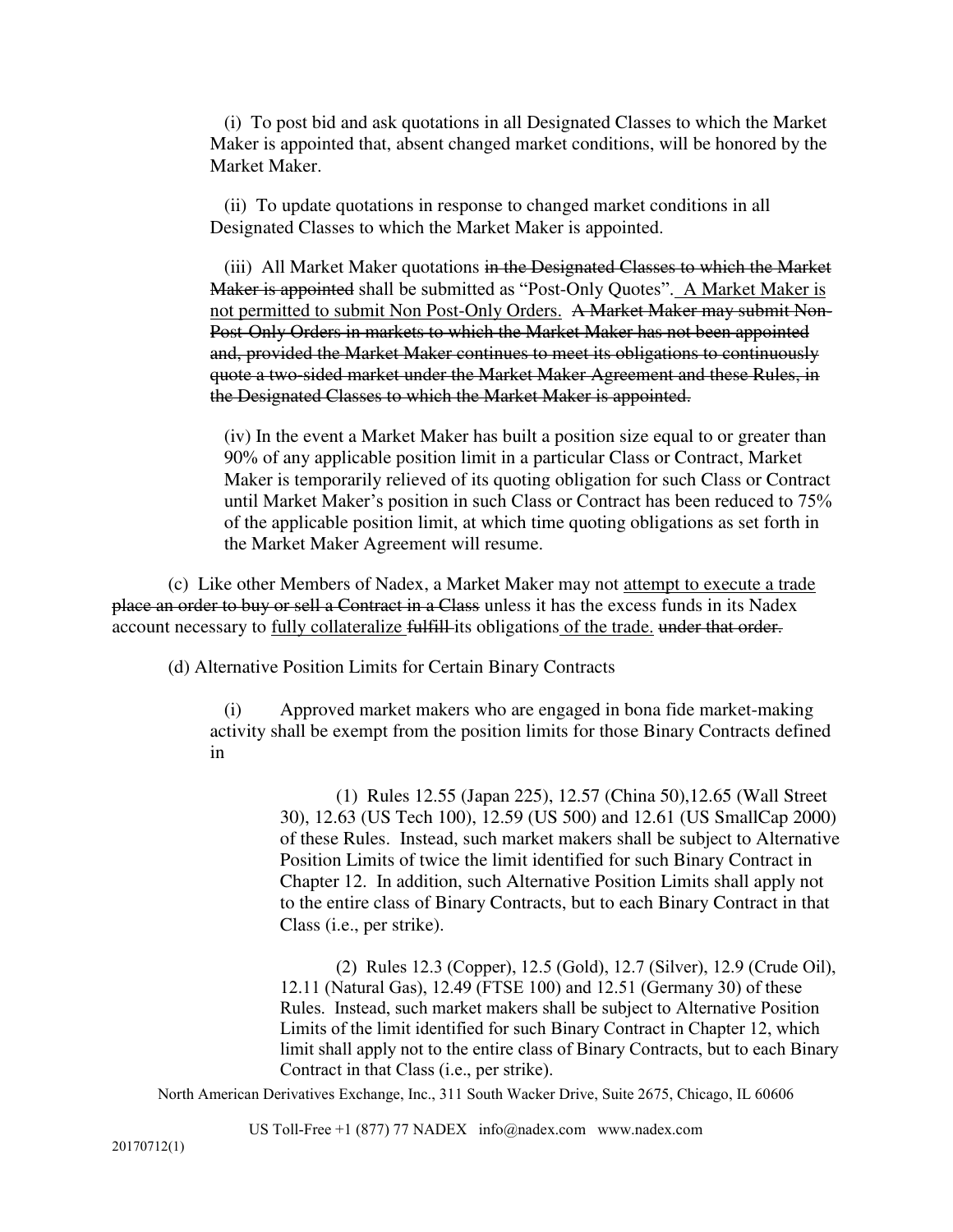(i) To post bid and ask quotations in all Designated Classes to which the Market Maker is appointed that, absent changed market conditions, will be honored by the Market Maker.

(ii) To update quotations in response to changed market conditions in all Designated Classes to which the Market Maker is appointed.

(iii) All Market Maker quotations in the Designated Classes to which the Market Maker is appointed shall be submitted as "Post-Only Quotes". A Market Maker is not permitted to submit Non Post-Only Orders. A Market Maker may submit Non-Post-Only Orders in markets to which the Market Maker has not been appointed and, provided the Market Maker continues to meet its obligations to continuously quote a two-sided market under the Market Maker Agreement and these Rules, in the Designated Classes to which the Market Maker is appointed.

(iv) In the event a Market Maker has built a position size equal to or greater than 90% of any applicable position limit in a particular Class or Contract, Market Maker is temporarily relieved of its quoting obligation for such Class or Contract until Market Maker's position in such Class or Contract has been reduced to 75% of the applicable position limit, at which time quoting obligations as set forth in the Market Maker Agreement will resume.

(c) Like other Members of Nadex, a Market Maker may not attempt to execute a trade place an order to buy or sell a Contract in a Class unless it has the excess funds in its Nadex account necessary to fully collateralize fulfill-its obligations of the trade. under that order.

(d) Alternative Position Limits for Certain Binary Contracts

(i) Approved market makers who are engaged in bona fide market-making activity shall be exempt from the position limits for those Binary Contracts defined in

> (1) Rules 12.55 (Japan 225), 12.57 (China 50),12.65 (Wall Street 30), 12.63 (US Tech 100), 12.59 (US 500) and 12.61 (US SmallCap 2000) of these Rules. Instead, such market makers shall be subject to Alternative Position Limits of twice the limit identified for such Binary Contract in Chapter 12. In addition, such Alternative Position Limits shall apply not to the entire class of Binary Contracts, but to each Binary Contract in that Class (i.e., per strike).

> (2) Rules 12.3 (Copper), 12.5 (Gold), 12.7 (Silver), 12.9 (Crude Oil), 12.11 (Natural Gas), 12.49 (FTSE 100) and 12.51 (Germany 30) of these Rules. Instead, such market makers shall be subject to Alternative Position Limits of the limit identified for such Binary Contract in Chapter 12, which limit shall apply not to the entire class of Binary Contracts, but to each Binary Contract in that Class (i.e., per strike).

North American Derivatives Exchange, Inc., 311 South Wacker Drive, Suite 2675, Chicago, IL 60606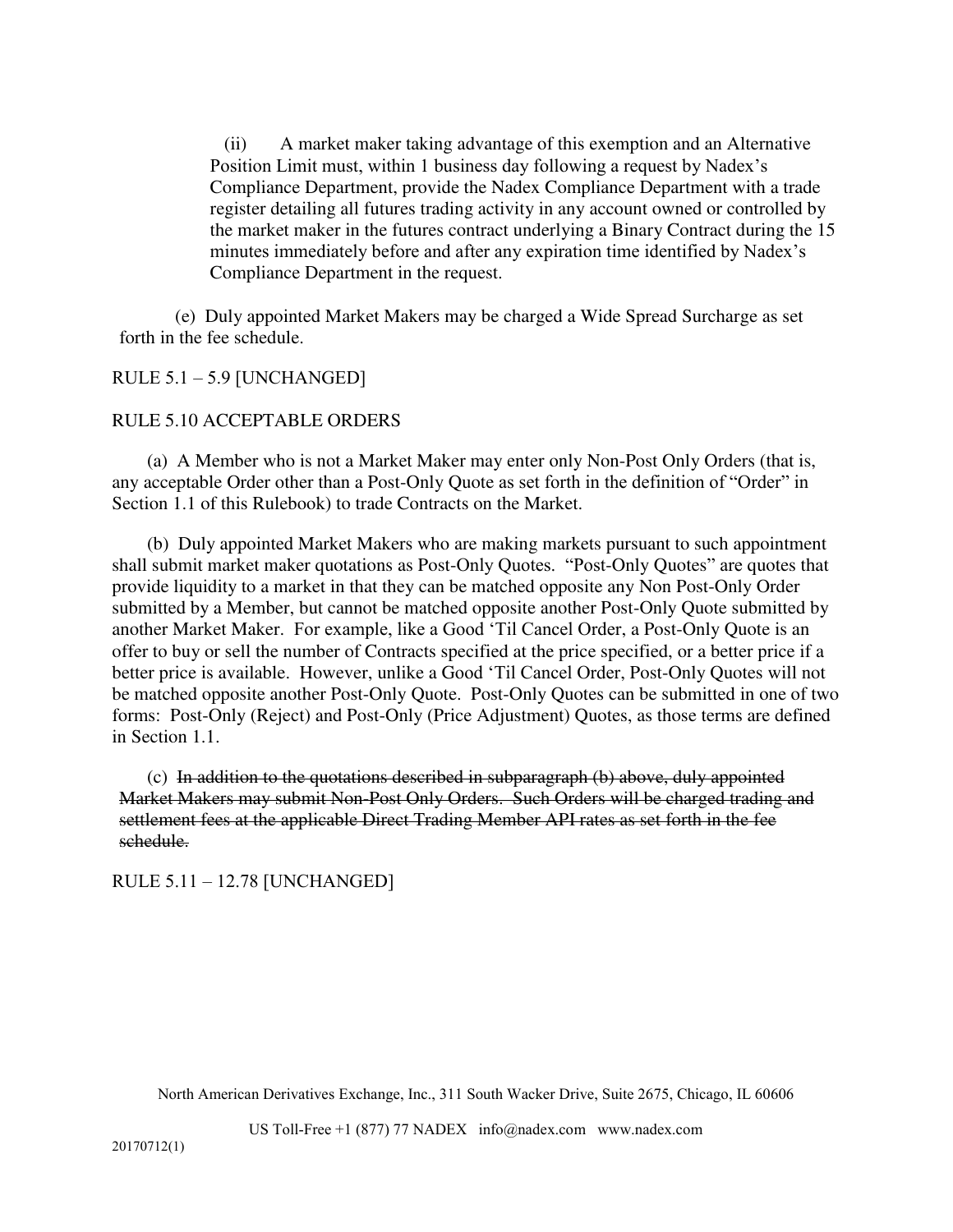(ii) A market maker taking advantage of this exemption and an Alternative Position Limit must, within 1 business day following a request by Nadex's Compliance Department, provide the Nadex Compliance Department with a trade register detailing all futures trading activity in any account owned or controlled by the market maker in the futures contract underlying a Binary Contract during the 15 minutes immediately before and after any expiration time identified by Nadex's Compliance Department in the request.

(e) Duly appointed Market Makers may be charged a Wide Spread Surcharge as set forth in the fee schedule.

# RULE 5.1 – 5.9 [UNCHANGED]

# RULE 5.10 ACCEPTABLE ORDERS

(a) A Member who is not a Market Maker may enter only Non-Post Only Orders (that is, any acceptable Order other than a Post-Only Quote as set forth in the definition of "Order" in Section 1.1 of this Rulebook) to trade Contracts on the Market.

(b) Duly appointed Market Makers who are making markets pursuant to such appointment shall submit market maker quotations as Post-Only Quotes. "Post-Only Quotes" are quotes that provide liquidity to a market in that they can be matched opposite any Non Post-Only Order submitted by a Member, but cannot be matched opposite another Post-Only Quote submitted by another Market Maker. For example, like a Good 'Til Cancel Order, a Post-Only Quote is an offer to buy or sell the number of Contracts specified at the price specified, or a better price if a better price is available. However, unlike a Good 'Til Cancel Order, Post-Only Quotes will not be matched opposite another Post-Only Quote. Post-Only Quotes can be submitted in one of two forms: Post-Only (Reject) and Post-Only (Price Adjustment) Quotes, as those terms are defined in Section 1.1.

 $(c)$  In addition to the quotations described in subparagraph  $(b)$  above, duly appointed Market Makers may submit Non-Post Only Orders. Such Orders will be charged trading and settlement fees at the applicable Direct Trading Member API rates as set forth in the fee schedule.

RULE 5.11 – 12.78 [UNCHANGED]

North American Derivatives Exchange, Inc., 311 South Wacker Drive, Suite 2675, Chicago, IL 60606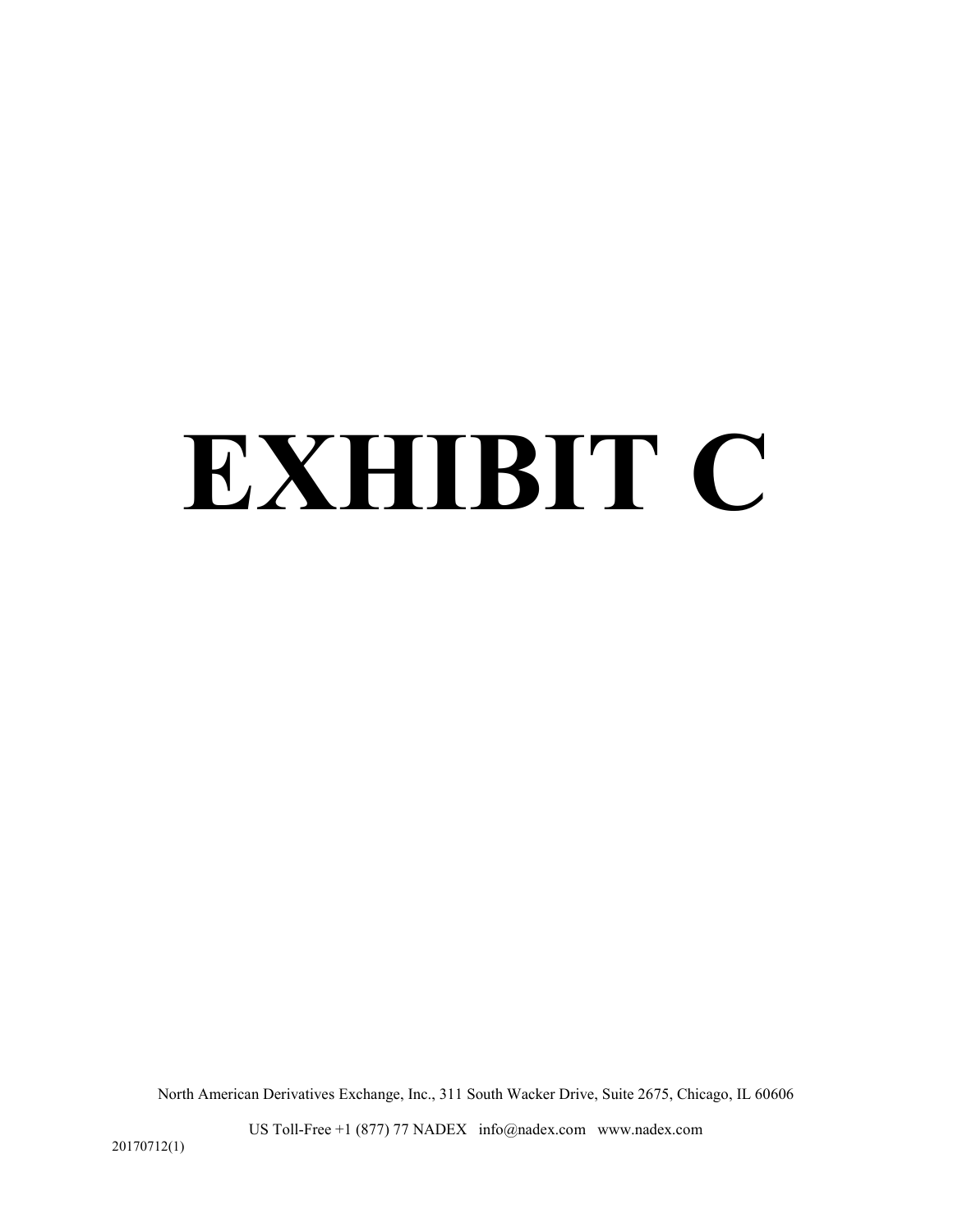# **EXHIBIT C**

North American Derivatives Exchange, Inc., 311 South Wacker Drive, Suite 2675, Chicago, IL 60606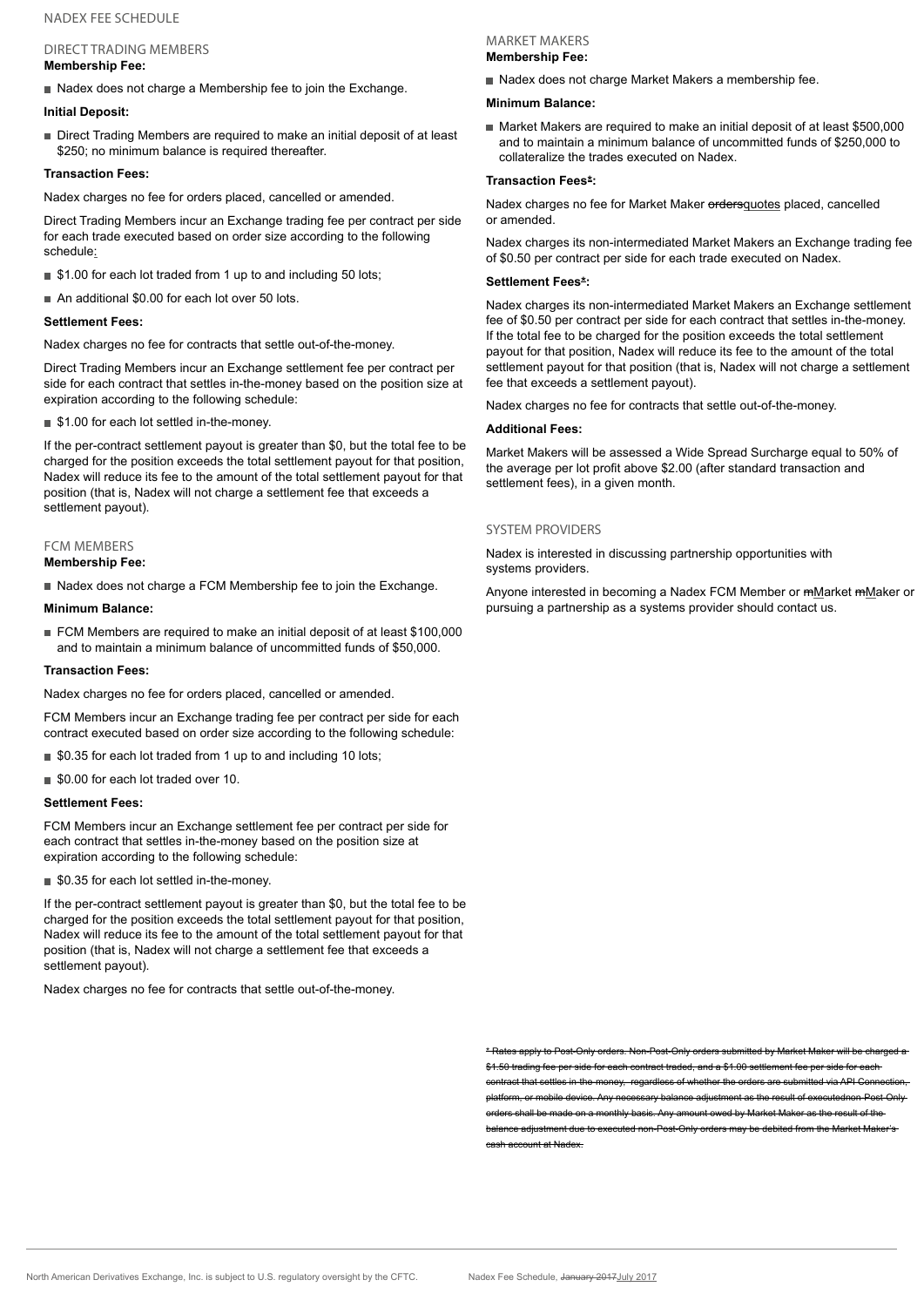#### NADEX FEE SCHEDULE

# DIRECT TRADING MEMBERS

#### **Membership Fee:**

Nadex does not charge a Membership fee to join the Exchange.

#### **Initial Deposit:**

Direct Trading Members are required to make an initial deposit of at least \$250; no minimum balance is required thereafter.

#### **Transaction Fees:**

Nadex charges no fee for orders placed, cancelled or amended.

Direct Trading Members incur an Exchange trading fee per contract per side for each trade executed based on order size according to the following schedule:

- \$1.00 for each lot traded from 1 up to and including 50 lots;
- An additional \$0.00 for each lot over 50 lots.

#### **Settlement Fees:**

Nadex charges no fee for contracts that settle out-of-the-money.

Direct Trading Members incur an Exchange settlement fee per contract per side for each contract that settles in-the-money based on the position size at expiration according to the following schedule:

■ \$1.00 for each lot settled in-the-money.

If the per-contract settlement payout is greater than \$0, but the total fee to be charged for the position exceeds the total settlement payout for that position, Nadex will reduce its fee to the amount of the total settlement payout for that position (that is, Nadex will not charge a settlement fee that exceeds a settlement payout).

#### FCM MEMBERS

#### **Membership Fee:**

Nadex does not charge a FCM Membership fee to join the Exchange.

#### **Minimum Balance:**

■ FCM Members are required to make an initial deposit of at least \$100,000 and to maintain a minimum balance of uncommitted funds of \$50,000.

#### **Transaction Fees:**

Nadex charges no fee for orders placed, cancelled or amended.

FCM Members incur an Exchange trading fee per contract per side for each contract executed based on order size according to the following schedule:

- \$0.35 for each lot traded from 1 up to and including 10 lots;
- \$0.00 for each lot traded over 10.

#### **Settlement Fees:**

FCM Members incur an Exchange settlement fee per contract per side for each contract that settles in-the-money based on the position size at expiration according to the following schedule:

■ \$0.35 for each lot settled in-the-money.

If the per-contract settlement payout is greater than \$0, but the total fee to be charged for the position exceeds the total settlement payout for that position, Nadex will reduce its fee to the amount of the total settlement payout for that position (that is, Nadex will not charge a settlement fee that exceeds a settlement payout).

Nadex charges no fee for contracts that settle out-of-the-money.

#### MARKET MAKERS **Membership Fee:**

Nadex does not charge Market Makers a membership fee.

#### **Minimum Balance:**

■ Market Makers are required to make an initial deposit of at least \$500,000 and to maintain a minimum balance of uncommitted funds of \$250,000 to collateralize the trades executed on Nadex.

#### **Transaction Fees\*:**

Nadex charges no fee for Market Maker ordersquotes placed, cancelled or amended.

Nadex charges its non-intermediated Market Makers an Exchange trading fee of \$0.50 per contract per side for each trade executed on Nadex.

#### **Settlement Fees\*:**

Nadex charges its non-intermediated Market Makers an Exchange settlement fee of \$0.50 per contract per side for each contract that settles in-the-money. If the total fee to be charged for the position exceeds the total settlement payout for that position, Nadex will reduce its fee to the amount of the total settlement payout for that position (that is, Nadex will not charge a settlement fee that exceeds a settlement payout).

Nadex charges no fee for contracts that settle out-of-the-money.

#### **Additional Fees:**

Market Makers will be assessed a Wide Spread Surcharge equal to 50% of the average per lot profit above \$2.00 (after standard transaction and settlement fees), in a given month.

#### SYSTEM PROVIDERS

Nadex is interested in discussing partnership opportunities with systems providers.

Anyone interested in becoming a Nadex FCM Member or mMarket mMaker or pursuing a partnership as a systems provider should contact us.

\* Rates apply to Post-Only orders. Non-Post-Only orders submitted by Market Maker will be charged a rading fee per side for each contract traded, and a \$1.00 sett ct that settles in-the-money, regardless of whether the orders are submitted via API Co platform, or mobile device. Any necessary balance adjustment as the result of executednon-Post-Only , shall be made on a monthly basis. Any amount owed by Market Maker as the result of the  $\overline{\phantom{a}}$ h<del>ce adjustment due to executed non-Post-Only orders may be debited from the Market Ma</del> cash account at Nadex.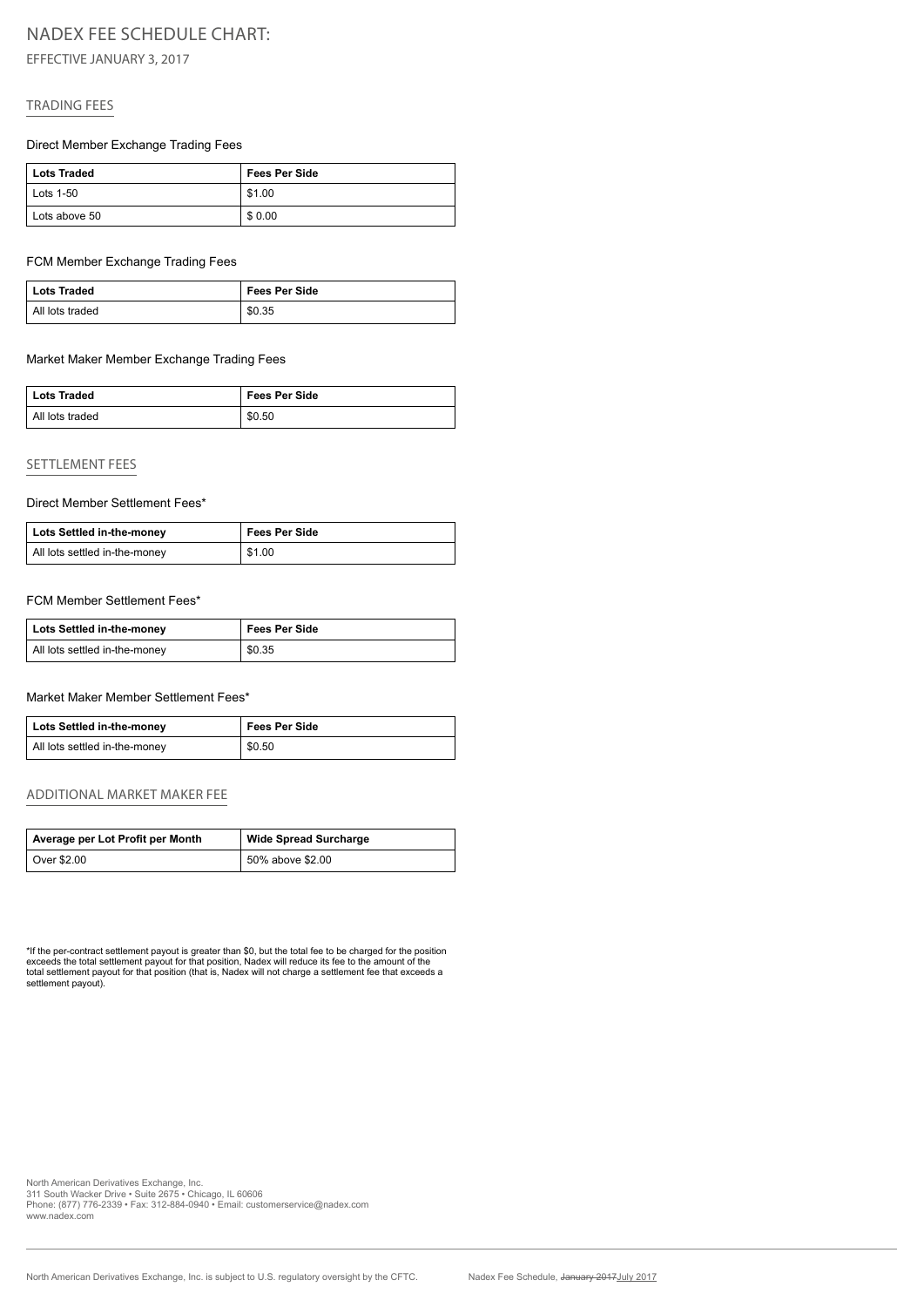# NADEX FEE SCHEDULE CHART:

EFFECTIVE JANUARY 3, 2017

## TRADING FEES

#### Direct Member Exchange Trading Fees

| Lots Traded       | <b>Fees Per Side</b> |
|-------------------|----------------------|
| $\vert$ Lots 1-50 | \$1.00               |
| Lots above 50     | \$0.00               |

#### FCM Member Exchange Trading Fees

| Lots Traded     | <b>Fees Per Side</b> |
|-----------------|----------------------|
| All lots traded | \$0.35               |

#### Market Maker Member Exchange Trading Fees

| <b>Lots Traded</b> | <b>Fees Per Side</b> |
|--------------------|----------------------|
| All lots traded    | \$0.50               |

#### SETTLEMENT FEES

#### Direct Member Settlement Fees\*

| Lots Settled in-the-money     | <b>Fees Per Side</b> |
|-------------------------------|----------------------|
| All lots settled in-the-money | \$1.00               |

#### FCM Member Settlement Fees\*

| Lots Settled in-the-money     | <b>Fees Per Side</b> |
|-------------------------------|----------------------|
| All lots settled in-the-money | \$0.35               |

#### Market Maker Member Settlement Fees\*

| Lots Settled in-the-money     | <b>Fees Per Side</b> |
|-------------------------------|----------------------|
| All lots settled in-the-money | \$0.50               |

#### ADDITIONAL MARKET MAKER FEE

| Average per Lot Profit per Month | <b>Wide Spread Surcharge</b> |
|----------------------------------|------------------------------|
| <sup>≀</sup> Over \$2.00         | 50% above \$2.00             |

\*If the per-contract settlement payout is greater than \$0, but the total fee to be charged for the position<br>exceeds the total settlement payout for that position, Nadex will reduce its fee to the amount of the<br>total settle settlement payout).

North American Derivatives Exchange, Inc. 311 South Wacker Drive • Suite 2675 • Chicago, IL 60606 Phone: (877) 776-2339 • Fax: 312-884-0940 • Email: customerservice@nadex.com www.nadex.com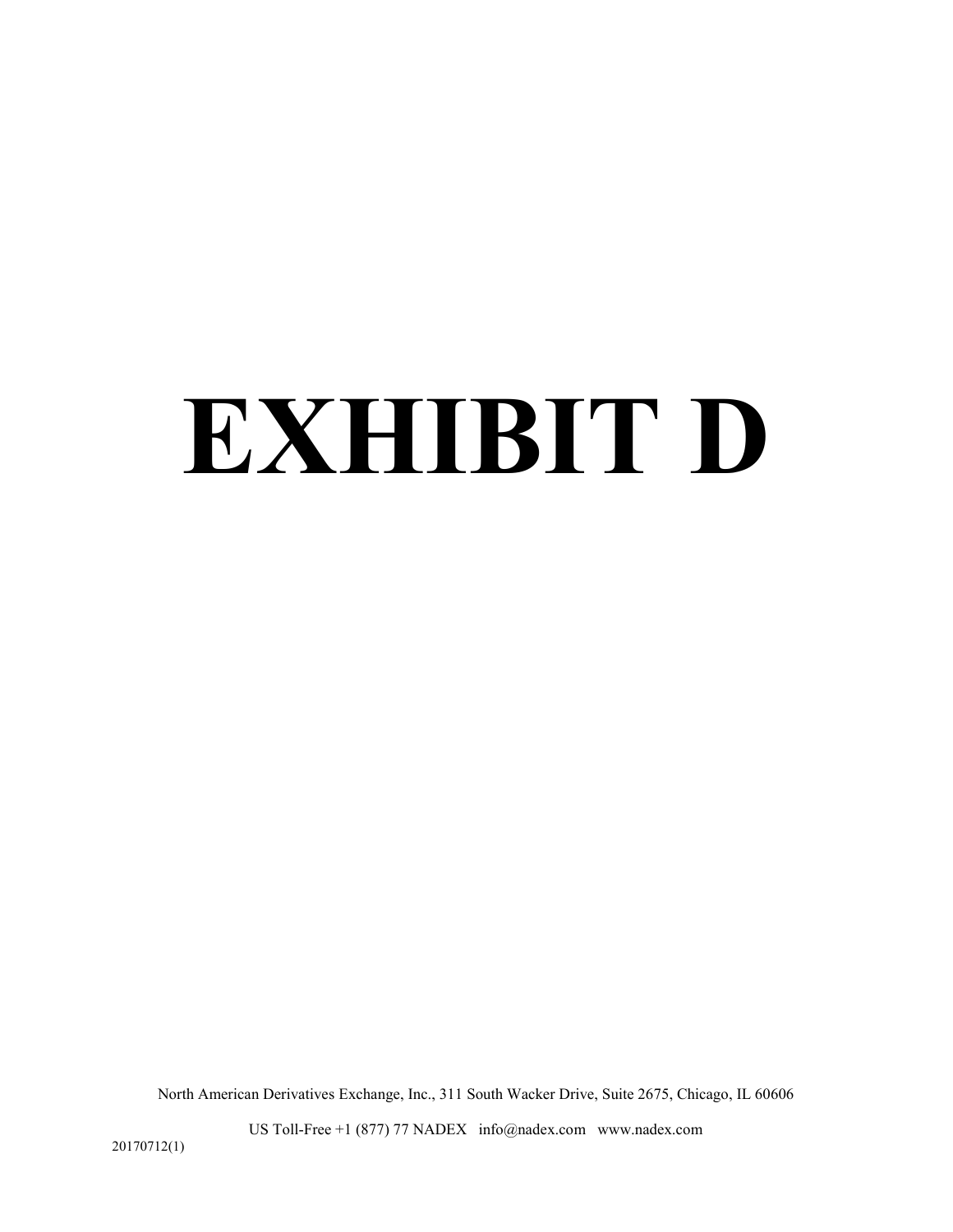# **EXHIBIT D**

North American Derivatives Exchange, Inc., 311 South Wacker Drive, Suite 2675, Chicago, IL 60606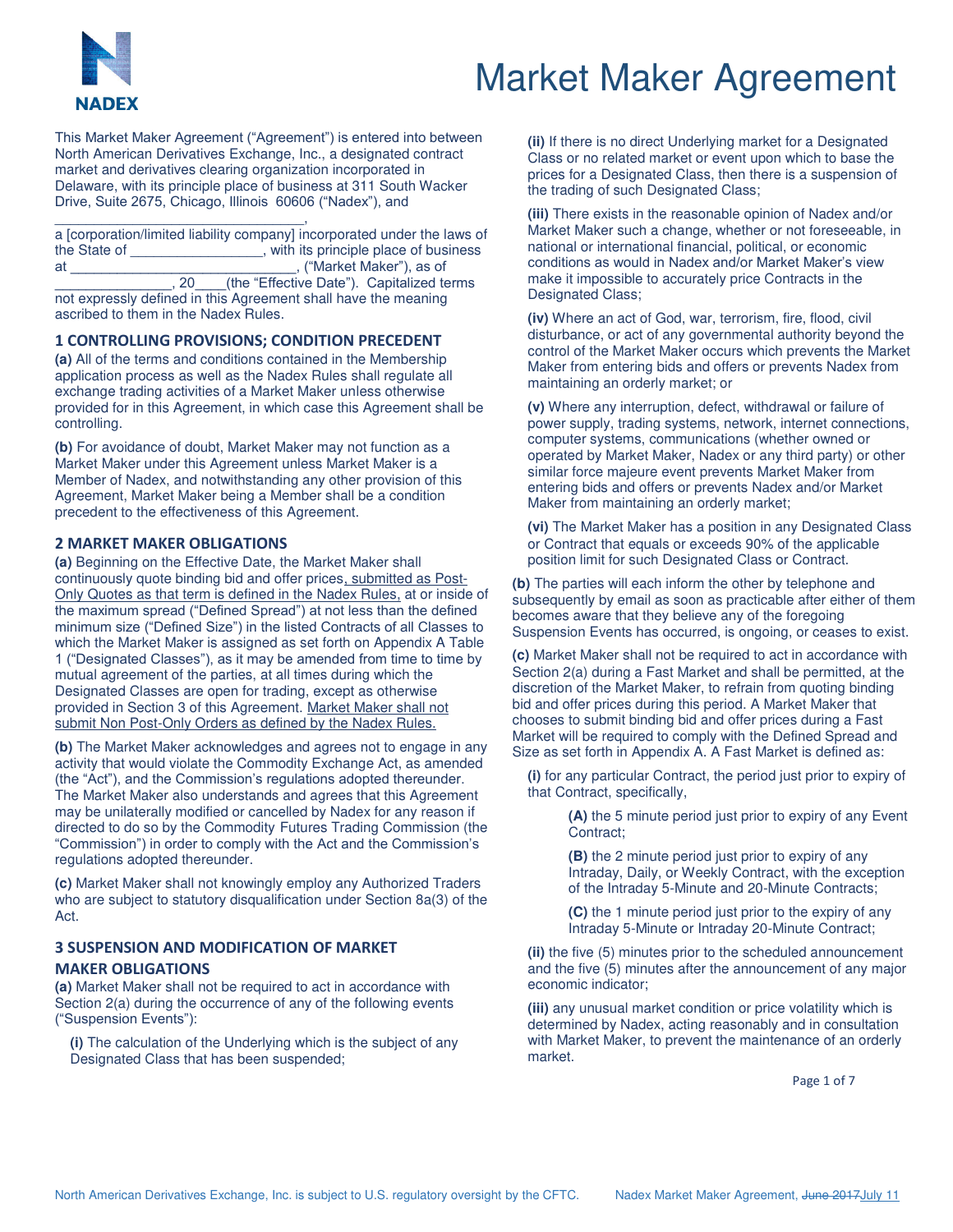

# Market Maker Agreement

This Market Maker Agreement ("Agreement") is entered into between North American Derivatives Exchange, Inc., a designated contract market and derivatives clearing organization incorporated in Delaware, with its principle place of business at 311 South Wacker Drive, Suite 2675, Chicago, Illinois 60606 ("Nadex"), and

\_\_\_\_\_\_\_\_\_\_\_\_\_\_\_\_\_\_\_\_\_\_\_\_\_\_\_\_\_\_\_\_, a [corporation/limited liability company] incorporated under the laws of the State of \_\_\_\_\_\_\_\_\_\_\_\_\_\_\_\_\_, with its principle place of business at \_\_\_\_\_\_\_\_\_\_\_\_\_\_\_\_\_\_\_\_\_\_\_\_\_\_\_\_\_, ("Market Maker"), as of \_\_\_\_\_\_\_\_\_\_\_\_\_\_\_, 20\_\_\_\_(the "Effective Date"). Capitalized terms not expressly defined in this Agreement shall have the meaning ascribed to them in the Nadex Rules.

#### **1 CONTROLLING PROVISIONS; CONDITION PRECEDENT**

**(a)** All of the terms and conditions contained in the Membership application process as well as the Nadex Rules shall regulate all exchange trading activities of a Market Maker unless otherwise provided for in this Agreement, in which case this Agreement shall be controlling.

**(b)** For avoidance of doubt, Market Maker may not function as a Market Maker under this Agreement unless Market Maker is a Member of Nadex, and notwithstanding any other provision of this Agreement, Market Maker being a Member shall be a condition precedent to the effectiveness of this Agreement.

#### **2 MARKET MAKER OBLIGATIONS**

**(a)** Beginning on the Effective Date, the Market Maker shall continuously quote binding bid and offer prices, submitted as Post-Only Quotes as that term is defined in the Nadex Rules, at or inside of the maximum spread ("Defined Spread") at not less than the defined minimum size ("Defined Size") in the listed Contracts of all Classes to which the Market Maker is assigned as set forth on Appendix A Table 1 ("Designated Classes"), as it may be amended from time to time by mutual agreement of the parties, at all times during which the Designated Classes are open for trading, except as otherwise provided in Section 3 of this Agreement. Market Maker shall not submit Non Post-Only Orders as defined by the Nadex Rules.

**(b)** The Market Maker acknowledges and agrees not to engage in any activity that would violate the Commodity Exchange Act, as amended (the "Act"), and the Commission's regulations adopted thereunder. The Market Maker also understands and agrees that this Agreement may be unilaterally modified or cancelled by Nadex for any reason if directed to do so by the Commodity Futures Trading Commission (the "Commission") in order to comply with the Act and the Commission's regulations adopted thereunder.

**(c)** Market Maker shall not knowingly employ any Authorized Traders who are subject to statutory disqualification under Section 8a(3) of the Act.

### **3 SUSPENSION AND MODIFICATION OF MARKET MAKER OBLIGATIONS**

**(a)** Market Maker shall not be required to act in accordance with Section 2(a) during the occurrence of any of the following events ("Suspension Events"):

**(i)** The calculation of the Underlying which is the subject of any Designated Class that has been suspended;

**(ii)** If there is no direct Underlying market for a Designated Class or no related market or event upon which to base the prices for a Designated Class, then there is a suspension of the trading of such Designated Class;

**(iii)** There exists in the reasonable opinion of Nadex and/or Market Maker such a change, whether or not foreseeable, in national or international financial, political, or economic conditions as would in Nadex and/or Market Maker's view make it impossible to accurately price Contracts in the Designated Class;

**(iv)** Where an act of God, war, terrorism, fire, flood, civil disturbance, or act of any governmental authority beyond the control of the Market Maker occurs which prevents the Market Maker from entering bids and offers or prevents Nadex from maintaining an orderly market; or

**(v)** Where any interruption, defect, withdrawal or failure of power supply, trading systems, network, internet connections, computer systems, communications (whether owned or operated by Market Maker, Nadex or any third party) or other similar force majeure event prevents Market Maker from entering bids and offers or prevents Nadex and/or Market Maker from maintaining an orderly market;

**(vi)** The Market Maker has a position in any Designated Class or Contract that equals or exceeds 90% of the applicable position limit for such Designated Class or Contract.

**(b)** The parties will each inform the other by telephone and subsequently by email as soon as practicable after either of them becomes aware that they believe any of the foregoing Suspension Events has occurred, is ongoing, or ceases to exist.

**(c)** Market Maker shall not be required to act in accordance with Section 2(a) during a Fast Market and shall be permitted, at the discretion of the Market Maker, to refrain from quoting binding bid and offer prices during this period. A Market Maker that chooses to submit binding bid and offer prices during a Fast Market will be required to comply with the Defined Spread and Size as set forth in Appendix A. A Fast Market is defined as:

**(i)** for any particular Contract, the period just prior to expiry of that Contract, specifically,

> **(A)** the 5 minute period just prior to expiry of any Event Contract;

> **(B)** the 2 minute period just prior to expiry of any Intraday, Daily, or Weekly Contract, with the exception of the Intraday 5-Minute and 20-Minute Contracts;

**(C)** the 1 minute period just prior to the expiry of any Intraday 5-Minute or Intraday 20-Minute Contract;

**(ii)** the five (5) minutes prior to the scheduled announcement and the five (5) minutes after the announcement of any major economic indicator;

**(iii)** any unusual market condition or price volatility which is determined by Nadex, acting reasonably and in consultation with Market Maker, to prevent the maintenance of an orderly market.

Page 1 of 7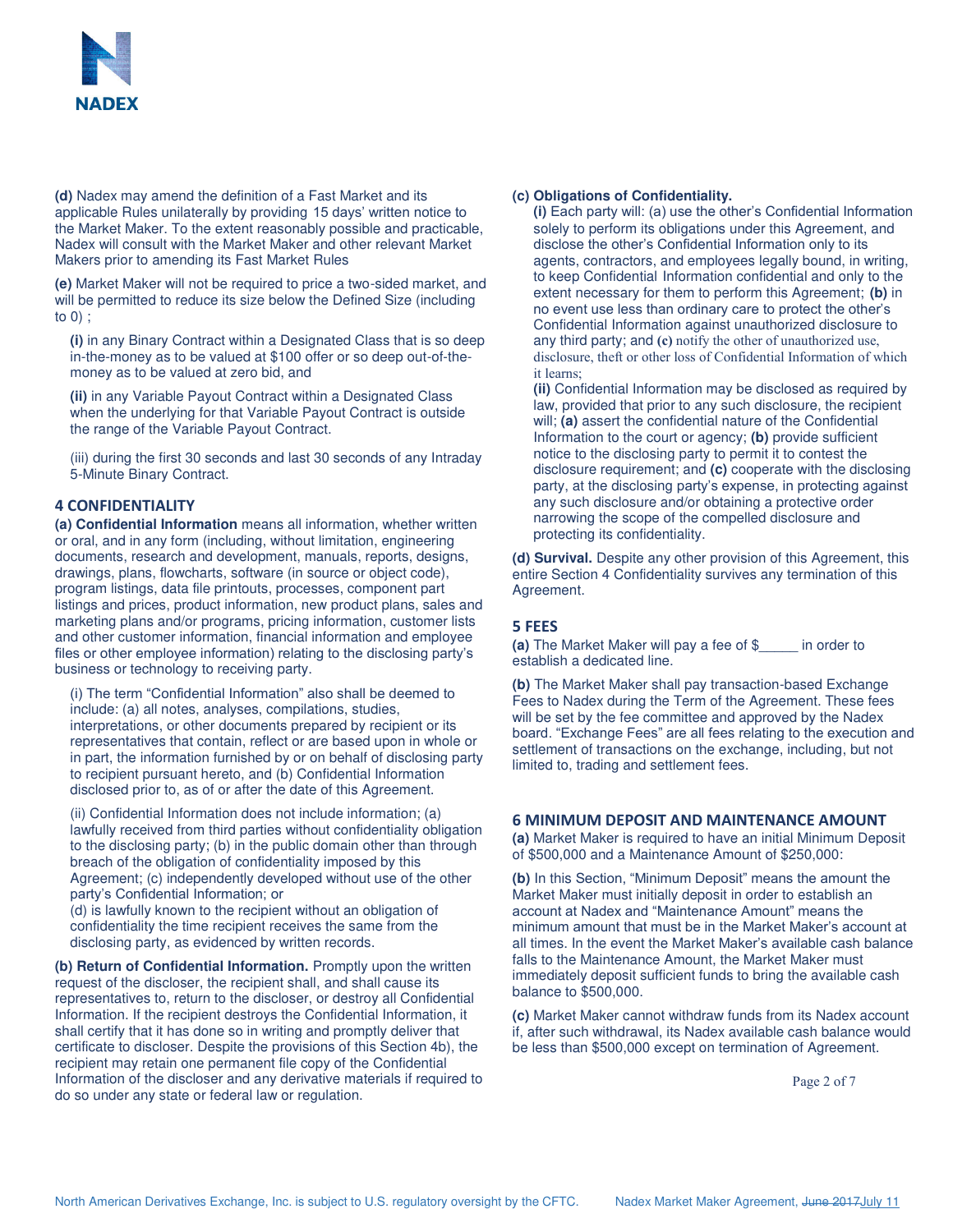

**(d)** Nadex may amend the definition of a Fast Market and its applicable Rules unilaterally by providing 15 days' written notice to the Market Maker. To the extent reasonably possible and practicable, Nadex will consult with the Market Maker and other relevant Market Makers prior to amending its Fast Market Rules

**(e)** Market Maker will not be required to price a two-sided market, and will be permitted to reduce its size below the Defined Size (including to 0) ;

**(i)** in any Binary Contract within a Designated Class that is so deep in-the-money as to be valued at \$100 offer or so deep out-of-themoney as to be valued at zero bid, and

**(ii)** in any Variable Payout Contract within a Designated Class when the underlying for that Variable Payout Contract is outside the range of the Variable Payout Contract.

(iii) during the first 30 seconds and last 30 seconds of any Intraday 5-Minute Binary Contract.

#### **4 CONFIDENTIALITY**

**(a) Confidential Information** means all information, whether written or oral, and in any form (including, without limitation, engineering documents, research and development, manuals, reports, designs, drawings, plans, flowcharts, software (in source or object code), program listings, data file printouts, processes, component part listings and prices, product information, new product plans, sales and marketing plans and/or programs, pricing information, customer lists and other customer information, financial information and employee files or other employee information) relating to the disclosing party's business or technology to receiving party.

(i) The term "Confidential Information" also shall be deemed to include: (a) all notes, analyses, compilations, studies, interpretations, or other documents prepared by recipient or its representatives that contain, reflect or are based upon in whole or in part, the information furnished by or on behalf of disclosing party to recipient pursuant hereto, and (b) Confidential Information disclosed prior to, as of or after the date of this Agreement.

(ii) Confidential Information does not include information; (a) lawfully received from third parties without confidentiality obligation to the disclosing party; (b) in the public domain other than through breach of the obligation of confidentiality imposed by this Agreement; (c) independently developed without use of the other party's Confidential Information; or

(d) is lawfully known to the recipient without an obligation of confidentiality the time recipient receives the same from the disclosing party, as evidenced by written records.

**(b) Return of Confidential Information.** Promptly upon the written request of the discloser, the recipient shall, and shall cause its representatives to, return to the discloser, or destroy all Confidential Information. If the recipient destroys the Confidential Information, it shall certify that it has done so in writing and promptly deliver that certificate to discloser. Despite the provisions of this Section 4b), the recipient may retain one permanent file copy of the Confidential Information of the discloser and any derivative materials if required to do so under any state or federal law or regulation.

#### **(c) Obligations of Confidentiality.**

**(i)** Each party will: (a) use the other's Confidential Information solely to perform its obligations under this Agreement, and disclose the other's Confidential Information only to its agents, contractors, and employees legally bound, in writing, to keep Confidential Information confidential and only to the extent necessary for them to perform this Agreement; **(b)** in no event use less than ordinary care to protect the other's Confidential Information against unauthorized disclosure to any third party; and **(c)** notify the other of unauthorized use, disclosure, theft or other loss of Confidential Information of which it learns;

**(ii)** Confidential Information may be disclosed as required by law, provided that prior to any such disclosure, the recipient will; **(a)** assert the confidential nature of the Confidential Information to the court or agency; **(b)** provide sufficient notice to the disclosing party to permit it to contest the disclosure requirement; and **(c)** cooperate with the disclosing party, at the disclosing party's expense, in protecting against any such disclosure and/or obtaining a protective order narrowing the scope of the compelled disclosure and protecting its confidentiality.

**(d) Survival.** Despite any other provision of this Agreement, this entire Section 4 Confidentiality survives any termination of this Agreement.

#### **5 FEES**

**(a)** The Market Maker will pay a fee of \$\_\_\_\_\_ in order to establish a dedicated line.

**(b)** The Market Maker shall pay transaction-based Exchange Fees to Nadex during the Term of the Agreement. These fees will be set by the fee committee and approved by the Nadex board. "Exchange Fees" are all fees relating to the execution and settlement of transactions on the exchange, including, but not limited to, trading and settlement fees.

#### **6 MINIMUM DEPOSIT AND MAINTENANCE AMOUNT**

**(a)** Market Maker is required to have an initial Minimum Deposit of \$500,000 and a Maintenance Amount of \$250,000:

**(b)** In this Section, "Minimum Deposit" means the amount the Market Maker must initially deposit in order to establish an account at Nadex and "Maintenance Amount" means the minimum amount that must be in the Market Maker's account at all times. In the event the Market Maker's available cash balance falls to the Maintenance Amount, the Market Maker must immediately deposit sufficient funds to bring the available cash balance to \$500,000.

**(c)** Market Maker cannot withdraw funds from its Nadex account if, after such withdrawal, its Nadex available cash balance would be less than \$500,000 except on termination of Agreement.

Page 2 of 7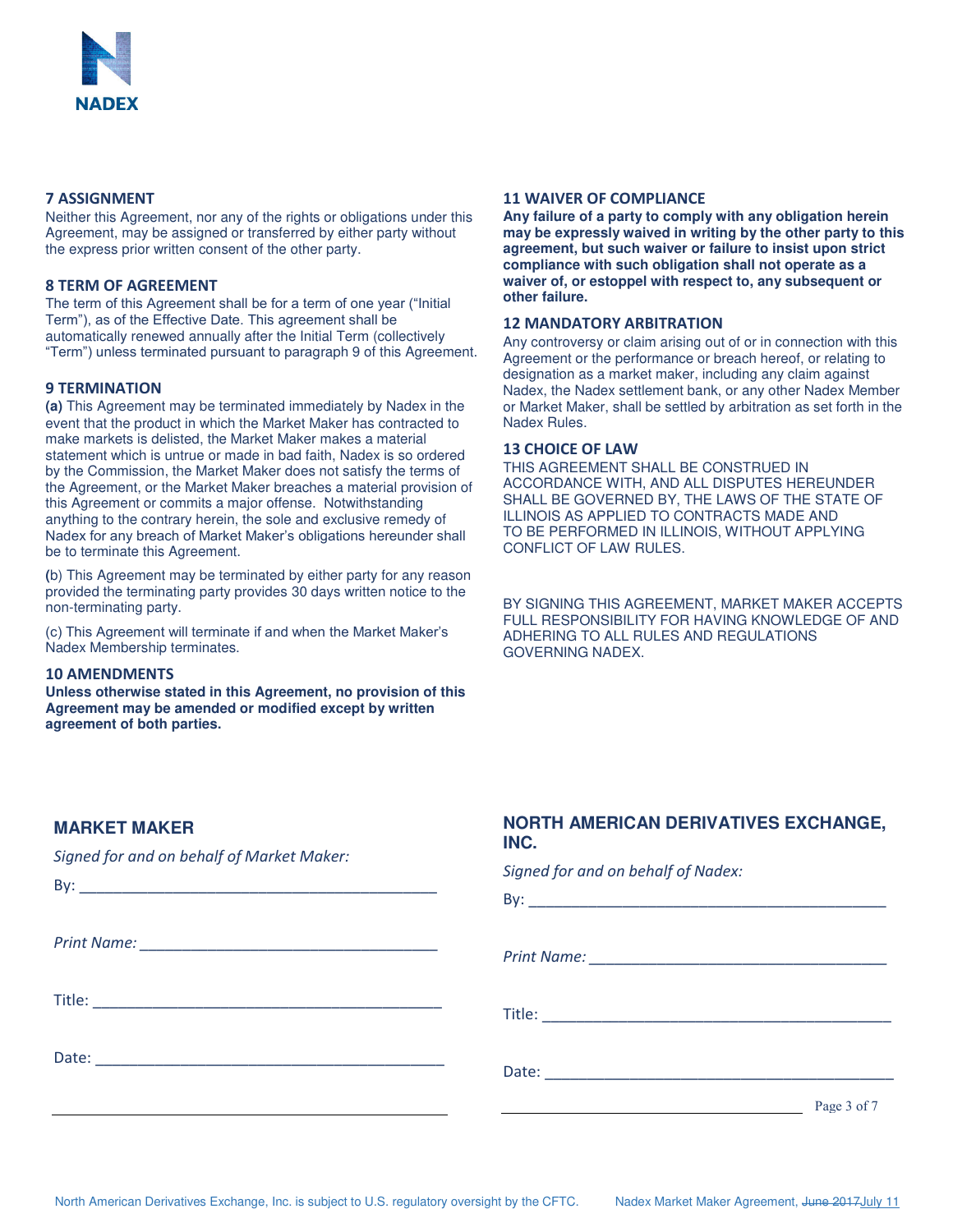

#### **7 ASSIGNMENT**

Neither this Agreement, nor any of the rights or obligations under this Agreement, may be assigned or transferred by either party without the express prior written consent of the other party.

#### **8 TERM OF AGREEMENT**

The term of this Agreement shall be for a term of one year ("Initial Term"), as of the Effective Date. This agreement shall be automatically renewed annually after the Initial Term (collectively "Term") unless terminated pursuant to paragraph 9 of this Agreement.

#### **9 TERMINATION**

**(a)** This Agreement may be terminated immediately by Nadex in the event that the product in which the Market Maker has contracted to make markets is delisted, the Market Maker makes a material statement which is untrue or made in bad faith, Nadex is so ordered by the Commission, the Market Maker does not satisfy the terms of the Agreement, or the Market Maker breaches a material provision of this Agreement or commits a major offense. Notwithstanding anything to the contrary herein, the sole and exclusive remedy of Nadex for any breach of Market Maker's obligations hereunder shall be to terminate this Agreement.

**(**b) This Agreement may be terminated by either party for any reason provided the terminating party provides 30 days written notice to the non-terminating party.

(c) This Agreement will terminate if and when the Market Maker's Nadex Membership terminates.

#### **10 AMENDMENTS**

**Unless otherwise stated in this Agreement, no provision of this Agreement may be amended or modified except by written agreement of both parties.**

#### **11 WAIVER OF COMPLIANCE**

**Any failure of a party to comply with any obligation herein may be expressly waived in writing by the other party to this agreement, but such waiver or failure to insist upon strict compliance with such obligation shall not operate as a waiver of, or estoppel with respect to, any subsequent or other failure.**

#### **12 MANDATORY ARBITRATION**

Any controversy or claim arising out of or in connection with this Agreement or the performance or breach hereof, or relating to designation as a market maker, including any claim against Nadex, the Nadex settlement bank, or any other Nadex Member or Market Maker, shall be settled by arbitration as set forth in the Nadex Rules.

#### **13 CHOICE OF LAW**

THIS AGREEMENT SHALL BE CONSTRUED IN ACCORDANCE WITH, AND ALL DISPUTES HEREUNDER SHALL BE GOVERNED BY, THE LAWS OF THE STATE OF ILLINOIS AS APPLIED TO CONTRACTS MADE AND TO BE PERFORMED IN ILLINOIS, WITHOUT APPLYING CONFLICT OF LAW RULES.

BY SIGNING THIS AGREEMENT, MARKET MAKER ACCEPTS FULL RESPONSIBILITY FOR HAVING KNOWLEDGE OF AND ADHERING TO ALL RULES AND REGULATIONS GOVERNING NADEX.

# **MARKET MAKER**

*Signed for and on behalf of Market Maker:*

# **NORTH AMERICAN DERIVATIVES EXCHANGE, INC.**

*Signed for and on behalf of Nadex:*

|  | Page 3 of 7 |
|--|-------------|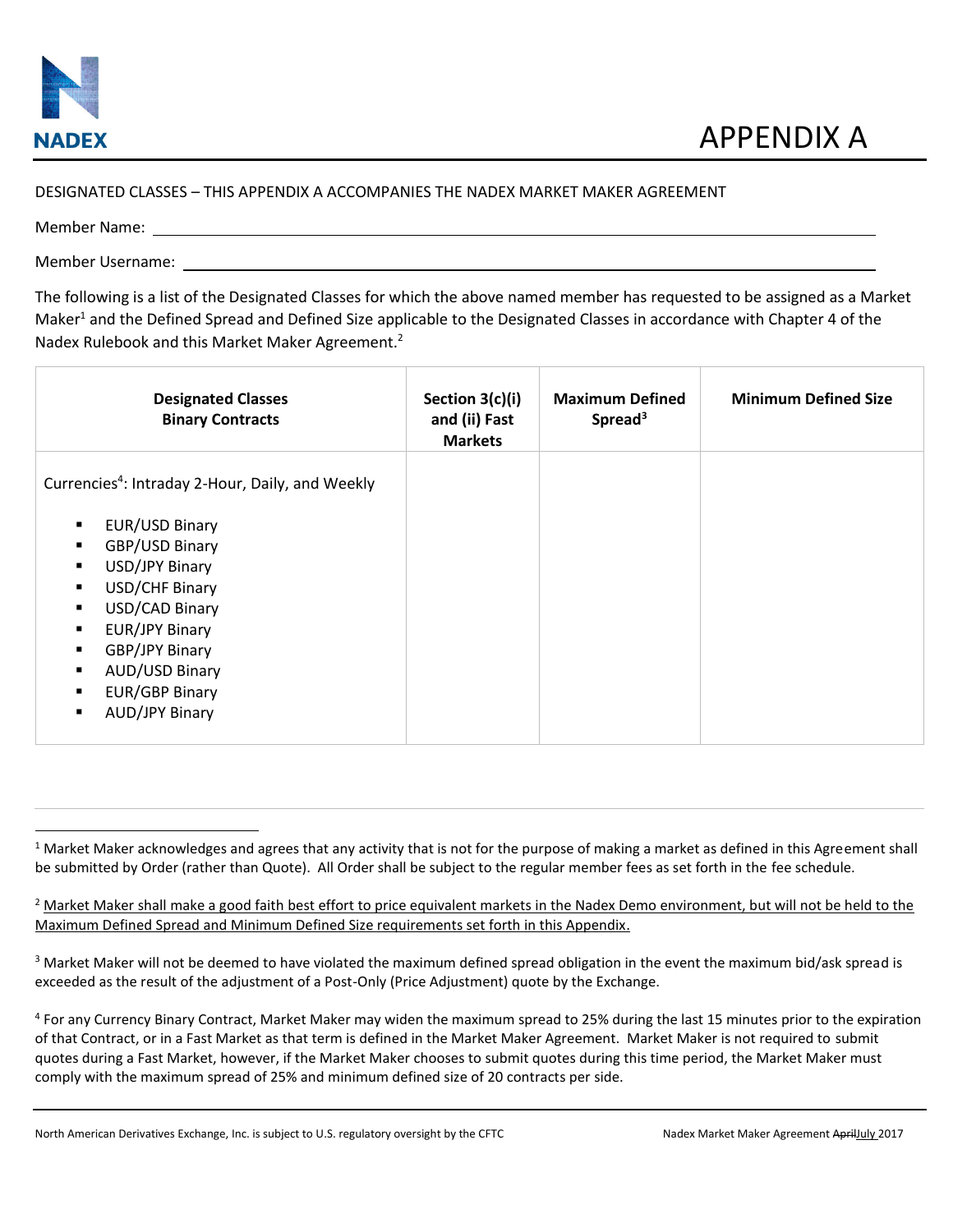

## DESIGNATED CLASSES – THIS APPENDIX A ACCOMPANIES THE NADEX MARKET MAKER AGREEMENT

Member Name:

l

Member Username:

The following is a list of the Designated Classes for which the above named member has requested to be assigned as a Market Maker<sup>1</sup> and the Defined Spread and Defined Size applicable to the Designated Classes in accordance with Chapter 4 of the Nadex Rulebook and this Market Maker Agreement.<sup>2</sup>

| <b>Designated Classes</b><br><b>Binary Contracts</b>         | Section 3(c)(i)<br>and (ii) Fast<br><b>Markets</b> | <b>Maximum Defined</b><br>Spread <sup>3</sup> | <b>Minimum Defined Size</b> |
|--------------------------------------------------------------|----------------------------------------------------|-----------------------------------------------|-----------------------------|
| Currencies <sup>4</sup> : Intraday 2-Hour, Daily, and Weekly |                                                    |                                               |                             |
| EUR/USD Binary                                               |                                                    |                                               |                             |
| GBP/USD Binary                                               |                                                    |                                               |                             |
| USD/JPY Binary                                               |                                                    |                                               |                             |
| USD/CHF Binary                                               |                                                    |                                               |                             |
| USD/CAD Binary                                               |                                                    |                                               |                             |
| EUR/JPY Binary<br>٠                                          |                                                    |                                               |                             |
| GBP/JPY Binary<br>٠                                          |                                                    |                                               |                             |
| AUD/USD Binary                                               |                                                    |                                               |                             |
| EUR/GBP Binary<br>٠                                          |                                                    |                                               |                             |
| <b>AUD/JPY Binary</b><br>٠                                   |                                                    |                                               |                             |

 $1$  Market Maker acknowledges and agrees that any activity that is not for the purpose of making a market as defined in this Agreement shall be submitted by Order (rather than Quote). All Order shall be subject to the regular member fees as set forth in the fee schedule.

<sup>&</sup>lt;sup>2</sup> Market Maker shall make a good faith best effort to price equivalent markets in the Nadex Demo environment, but will not be held to the Maximum Defined Spread and Minimum Defined Size requirements set forth in this Appendix.

 $3$  Market Maker will not be deemed to have violated the maximum defined spread obligation in the event the maximum bid/ask spread is exceeded as the result of the adjustment of a Post-Only (Price Adjustment) quote by the Exchange.

<sup>&</sup>lt;sup>4</sup> For any Currency Binary Contract, Market Maker may widen the maximum spread to 25% during the last 15 minutes prior to the expiration of that Contract, or in a Fast Market as that term is defined in the Market Maker Agreement. Market Maker is not required to submit quotes during a Fast Market, however, if the Market Maker chooses to submit quotes during this time period, the Market Maker must comply with the maximum spread of 25% and minimum defined size of 20 contracts per side.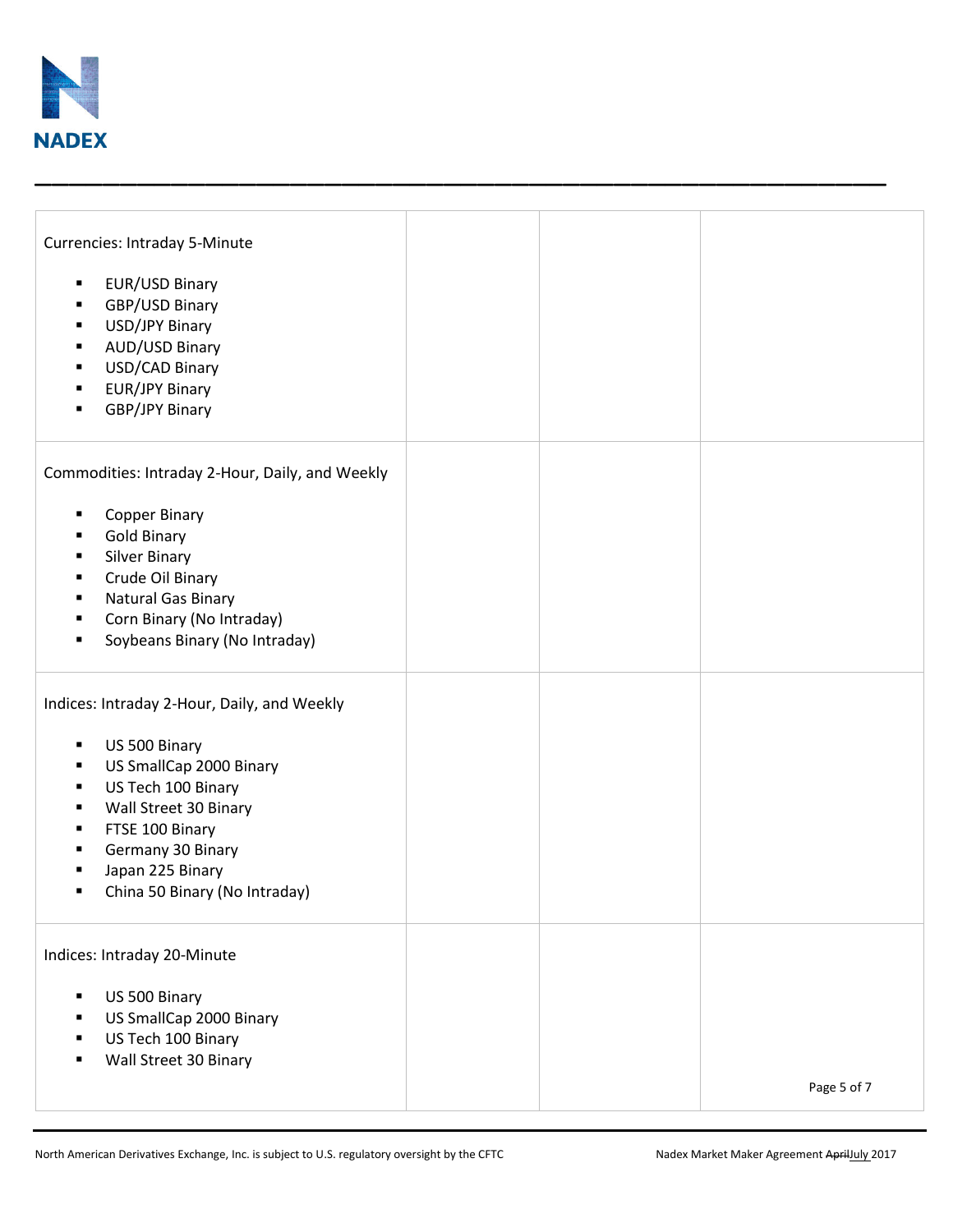

| <b>Currencies: Intraday 5-Minute</b><br>EUR/USD Binary<br>٠<br>GBP/USD Binary<br>٠<br>USD/JPY Binary<br>٠<br>AUD/USD Binary<br>٠<br>USD/CAD Binary<br>٠<br><b>EUR/JPY Binary</b><br>٠<br>GBP/JPY Binary<br>٠                                                           |  |             |
|------------------------------------------------------------------------------------------------------------------------------------------------------------------------------------------------------------------------------------------------------------------------|--|-------------|
| Commodities: Intraday 2-Hour, Daily, and Weekly<br>Copper Binary<br>٠<br><b>Gold Binary</b><br><b>Silver Binary</b><br>٠<br>Crude Oil Binary<br>٠<br>Natural Gas Binary<br>٠<br>Corn Binary (No Intraday)<br>٠<br>Soybeans Binary (No Intraday)<br>٠                   |  |             |
| Indices: Intraday 2-Hour, Daily, and Weekly<br>US 500 Binary<br>٠<br>US SmallCap 2000 Binary<br>٠<br>US Tech 100 Binary<br>٠<br>Wall Street 30 Binary<br>٠<br>FTSE 100 Binary<br>٠<br>Germany 30 Binary<br>٠<br>Japan 225 Binary<br>China 50 Binary (No Intraday)<br>٠ |  |             |
| Indices: Intraday 20-Minute<br>US 500 Binary<br>Ξ<br>US SmallCap 2000 Binary<br>п<br>US Tech 100 Binary<br>Wall Street 30 Binary                                                                                                                                       |  | Page 5 of 7 |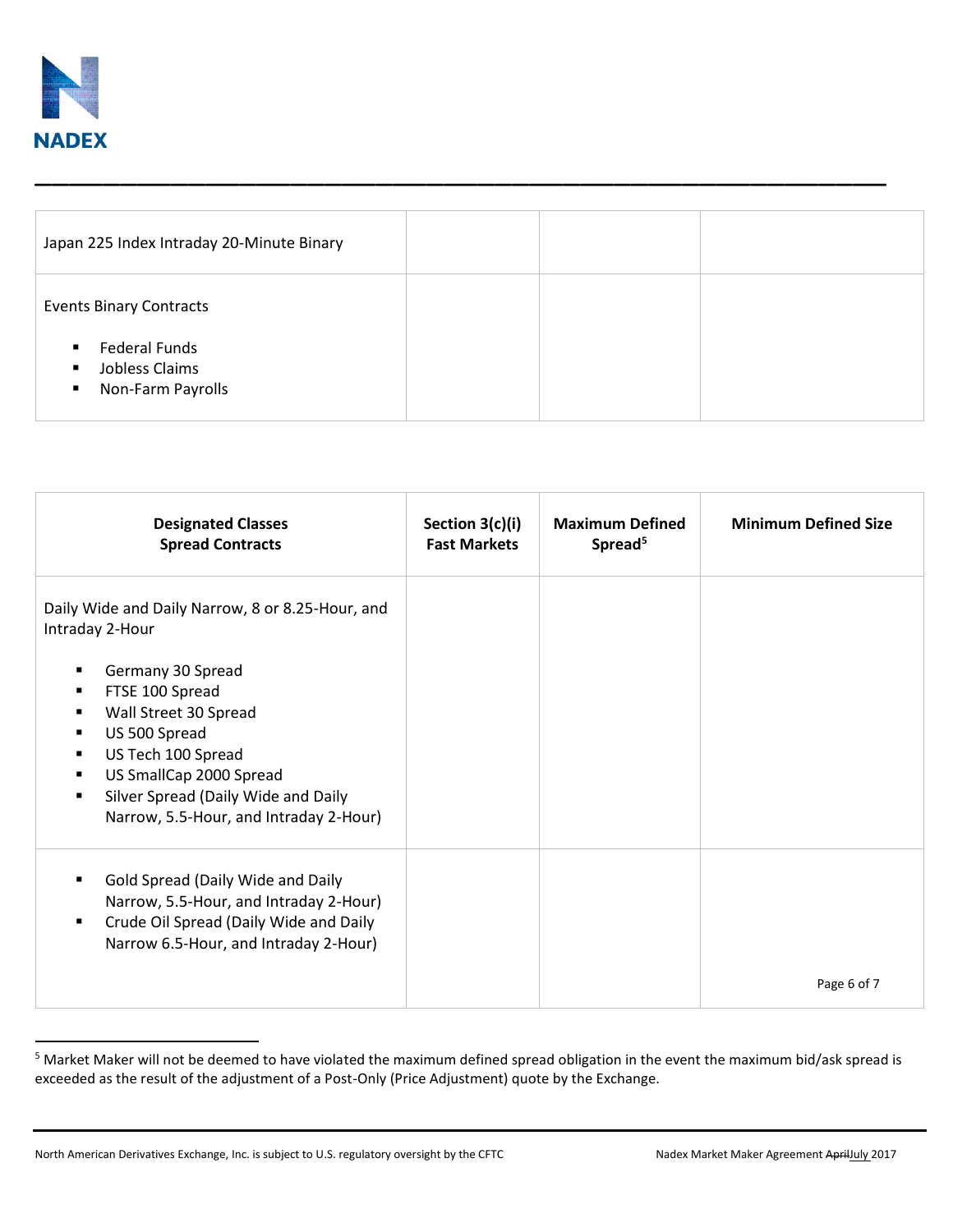

 $\overline{a}$ 

| Japan 225 Index Intraday 20-Minute Binary                                                                                                           |  |  |
|-----------------------------------------------------------------------------------------------------------------------------------------------------|--|--|
| <b>Events Binary Contracts</b><br><b>Federal Funds</b><br>$\blacksquare$<br>Jobless Claims<br>$\blacksquare$<br>Non-Farm Payrolls<br>$\blacksquare$ |  |  |

| <b>Designated Classes</b><br><b>Spread Contracts</b>                                                                                                                                                                                                                                                      | Section 3(c)(i)<br><b>Fast Markets</b> | <b>Maximum Defined</b><br>Spread <sup>5</sup> | <b>Minimum Defined Size</b> |
|-----------------------------------------------------------------------------------------------------------------------------------------------------------------------------------------------------------------------------------------------------------------------------------------------------------|----------------------------------------|-----------------------------------------------|-----------------------------|
| Daily Wide and Daily Narrow, 8 or 8.25-Hour, and<br>Intraday 2-Hour<br>Germany 30 Spread<br>FTSE 100 Spread<br>Wall Street 30 Spread<br>US 500 Spread<br>US Tech 100 Spread<br>US SmallCap 2000 Spread<br>Silver Spread (Daily Wide and Daily<br>$\blacksquare$<br>Narrow, 5.5-Hour, and Intraday 2-Hour) |                                        |                                               |                             |
| Gold Spread (Daily Wide and Daily<br>Narrow, 5.5-Hour, and Intraday 2-Hour)<br>Crude Oil Spread (Daily Wide and Daily<br>$\blacksquare$<br>Narrow 6.5-Hour, and Intraday 2-Hour)                                                                                                                          |                                        |                                               | Page 6 of 7                 |

<sup>&</sup>lt;sup>5</sup> Market Maker will not be deemed to have violated the maximum defined spread obligation in the event the maximum bid/ask spread is exceeded as the result of the adjustment of a Post-Only (Price Adjustment) quote by the Exchange.